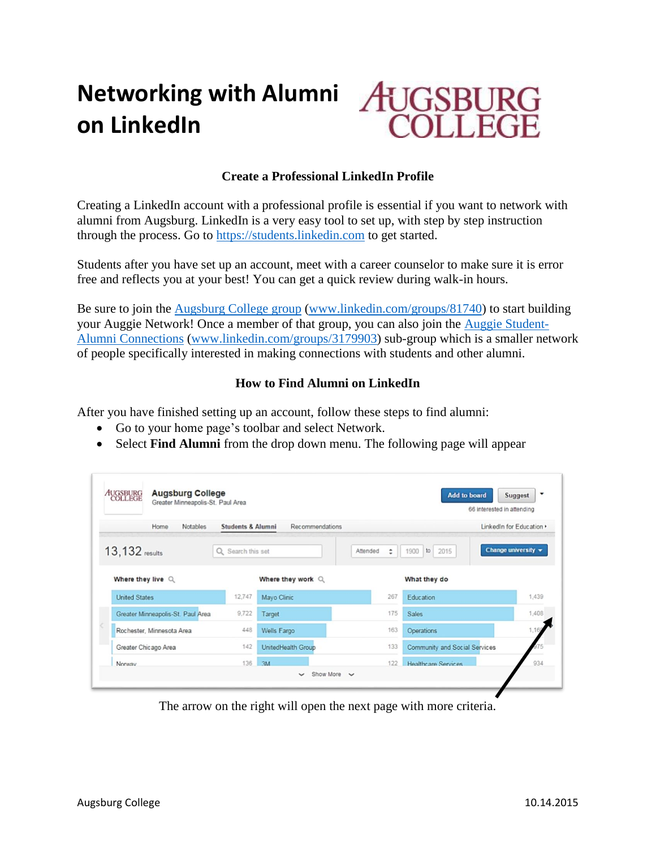# **Networking with Alumni on LinkedIn**



## **Create a Professional LinkedIn Profile**

Creating a LinkedIn account with a professional profile is essential if you want to network with alumni from Augsburg. LinkedIn is a very easy tool to set up, with step by step instruction through the process. Go to [https://students.linkedin.com](https://students.linkedin.com/) to get started.

Students after you have set up an account, meet with a career counselor to make sure it is error free and reflects you at your best! You can get a quick review during walk-in hours.

Be sure to join the [Augsburg College group](https://www.linkedin.com/groups/81740) [\(www.linkedin.com/groups/81740\)](http://www.linkedin.com/groups/81740) to start building your Auggie Network! Once a member of that group, you can also join the [Auggie Student-](https://www.linkedin.com/groups/3179903)[Alumni Connections](https://www.linkedin.com/groups/3179903) [\(www.linkedin.com/groups/3179903\)](file://///FACSTAFF/FACSTAFF_HOME/ALUMNI-PARENT%20RELATIONS/RADFORD/Strommen/ABC/www.linkedin.com/groups/3179903) sub-group which is a smaller network of people specifically interested in making connections with students and other alumni.

### **How to Find Alumni on LinkedIn**

After you have finished setting up an account, follow these steps to find alumni:

- Go to your home page's toolbar and select Network.
- Select **Find Alumni** from the drop down menu. The following page will appear

| AUGSBURG<br>COLLEGE         | <b>Augsburg College</b><br>Greater Minneapolis-St. Paul Area |                              |                        | $\overline{\phantom{0}}$<br><b>Add to board</b><br><b>Suggest</b><br>66 interested in attending |                     |                                         |
|-----------------------------|--------------------------------------------------------------|------------------------------|------------------------|-------------------------------------------------------------------------------------------------|---------------------|-----------------------------------------|
|                             | Notables<br>Home                                             | <b>Students &amp; Alumni</b> | <b>Recommendations</b> |                                                                                                 |                     | LinkedIn for Education ›                |
| 13, 132 results             |                                                              | Q Search this set            |                        | Attended<br>÷                                                                                   | 2015<br>1900<br>to  | Change university $\blacktriangleright$ |
|                             | Where they live Q                                            |                              | Where they work $Q$    |                                                                                                 | What they do        |                                         |
| <b>United States</b>        |                                                              | 12,747                       | Mayo Clinic            | 267                                                                                             | Education           | 1,439                                   |
|                             | Greater Minneapolis-St. Paul Area                            | 9,722                        | Target                 | 175                                                                                             | <b>Sales</b>        | 1,408                                   |
|                             | Rochester, Minnesota Area                                    | 448                          | Wells Fargo            | 163                                                                                             | Operations          | 1,16                                    |
| 142<br>Greater Chicago Area |                                                              | UnitedHealth Group           | 133                    | Community and Social Services                                                                   |                     |                                         |
|                             | 136<br>Norway                                                |                              | 3M                     | 122                                                                                             | Healthcare Services | 934                                     |

The arrow on the right will open the next page with more criteria.